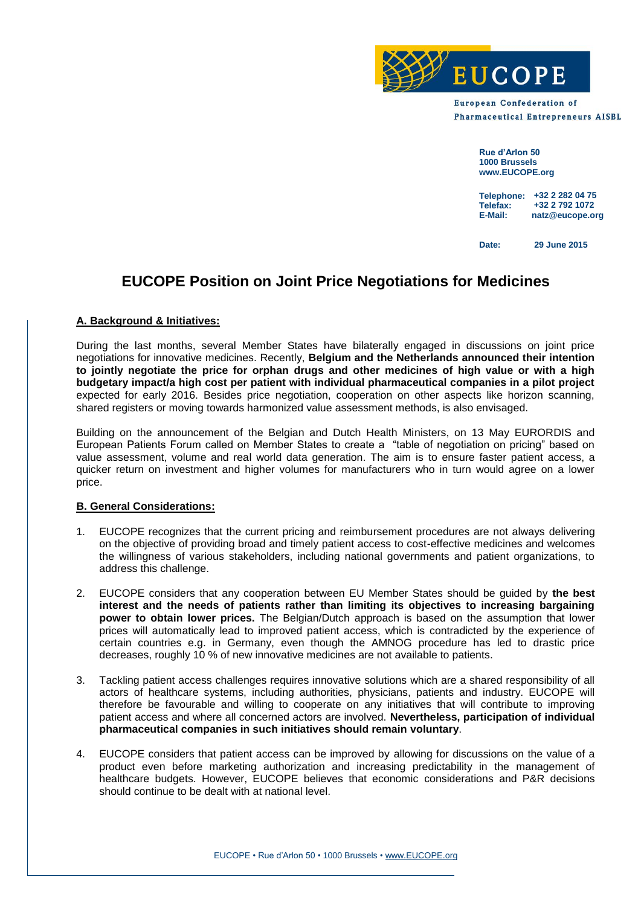

**European Confederation of Pharmaceutical Entrepreneurs AISBL** 

> **Rue d'Arlon 50 1000 Brussels www.EUCOPE.org**

**Telephone: +32 2 282 04 75 Telefax: E-Mail: natz@eucope.org +32 2 792 1072**

**Date: 29 June 2015**

# **EUCOPE Position on Joint Price Negotiations for Medicines**

# **A. Background & Initiatives:**

During the last months, several Member States have bilaterally engaged in discussions on joint price negotiations for innovative medicines. Recently, **Belgium and the Netherlands announced their intention to jointly negotiate the price for orphan drugs and other medicines of high value or with a high budgetary impact/a high cost per patient with individual pharmaceutical companies in a pilot project**  expected for early 2016. Besides price negotiation, cooperation on other aspects like horizon scanning, shared registers or moving towards harmonized value assessment methods, is also envisaged.

Building on the announcement of the Belgian and Dutch Health Ministers, on 13 May EURORDIS and European Patients Forum called on Member States to create a "table of negotiation on pricing" based on value assessment, volume and real world data generation. The aim is to ensure faster patient access, a quicker return on investment and higher volumes for manufacturers who in turn would agree on a lower price.

# **B. General Considerations:**

- 1. EUCOPE recognizes that the current pricing and reimbursement procedures are not always delivering on the objective of providing broad and timely patient access to cost-effective medicines and welcomes the willingness of various stakeholders, including national governments and patient organizations, to address this challenge.
- 2. EUCOPE considers that any cooperation between EU Member States should be guided by **the best interest and the needs of patients rather than limiting its objectives to increasing bargaining power to obtain lower prices.** The Belgian/Dutch approach is based on the assumption that lower prices will automatically lead to improved patient access, which is contradicted by the experience of certain countries e.g. in Germany, even though the AMNOG procedure has led to drastic price decreases, roughly 10 % of new innovative medicines are not available to patients.
- 3. Tackling patient access challenges requires innovative solutions which are a shared responsibility of all actors of healthcare systems, including authorities, physicians, patients and industry. EUCOPE will therefore be favourable and willing to cooperate on any initiatives that will contribute to improving patient access and where all concerned actors are involved. **Nevertheless, participation of individual pharmaceutical companies in such initiatives should remain voluntary**.
- 4. EUCOPE considers that patient access can be improved by allowing for discussions on the value of a product even before marketing authorization and increasing predictability in the management of healthcare budgets. However, EUCOPE believes that economic considerations and P&R decisions should continue to be dealt with at national level.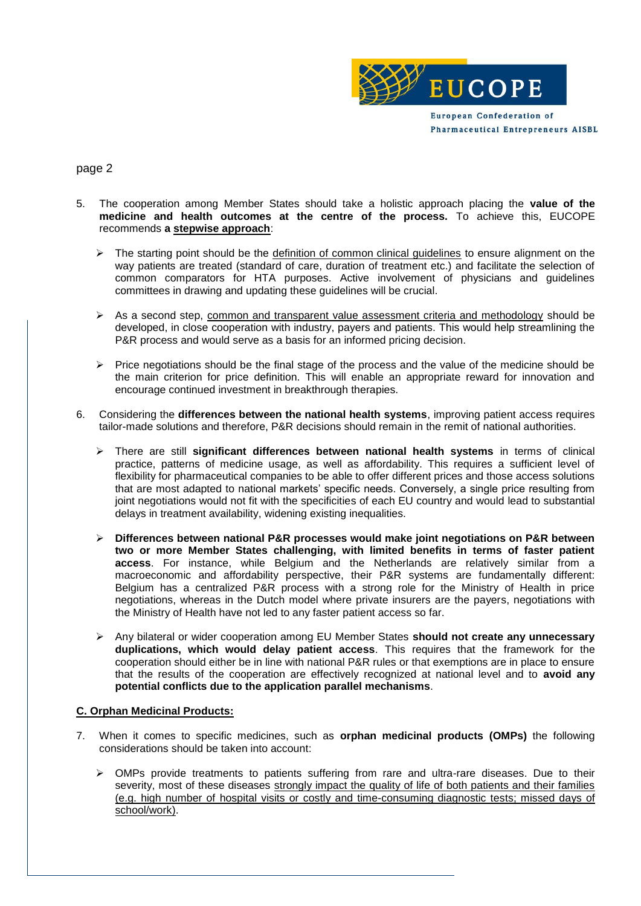

# page 2

- 5. The cooperation among Member States should take a holistic approach placing the **value of the medicine and health outcomes at the centre of the process.** To achieve this, EUCOPE recommends **a stepwise approach**:
	- $\triangleright$  The starting point should be the definition of common clinical guidelines to ensure alignment on the way patients are treated (standard of care, duration of treatment etc.) and facilitate the selection of common comparators for HTA purposes. Active involvement of physicians and guidelines committees in drawing and updating these guidelines will be crucial.
	- $\triangleright$  As a second step, common and transparent value assessment criteria and methodology should be developed, in close cooperation with industry, payers and patients. This would help streamlining the P&R process and would serve as a basis for an informed pricing decision.
	- $\triangleright$  Price negotiations should be the final stage of the process and the value of the medicine should be the main criterion for price definition. This will enable an appropriate reward for innovation and encourage continued investment in breakthrough therapies.
- 6. Considering the **differences between the national health systems**, improving patient access requires tailor-made solutions and therefore, P&R decisions should remain in the remit of national authorities.
	- There are still **significant differences between national health systems** in terms of clinical practice, patterns of medicine usage, as well as affordability. This requires a sufficient level of flexibility for pharmaceutical companies to be able to offer different prices and those access solutions that are most adapted to national markets' specific needs. Conversely, a single price resulting from joint negotiations would not fit with the specificities of each EU country and would lead to substantial delays in treatment availability, widening existing inequalities.
	- **Differences between national P&R processes would make joint negotiations on P&R between two or more Member States challenging, with limited benefits in terms of faster patient access**. For instance, while Belgium and the Netherlands are relatively similar from a macroeconomic and affordability perspective, their P&R systems are fundamentally different: Belgium has a centralized P&R process with a strong role for the Ministry of Health in price negotiations, whereas in the Dutch model where private insurers are the payers, negotiations with the Ministry of Health have not led to any faster patient access so far.
	- Any bilateral or wider cooperation among EU Member States **should not create any unnecessary duplications, which would delay patient access**. This requires that the framework for the cooperation should either be in line with national P&R rules or that exemptions are in place to ensure that the results of the cooperation are effectively recognized at national level and to **avoid any potential conflicts due to the application parallel mechanisms**.

# **C. Orphan Medicinal Products:**

- 7. When it comes to specific medicines, such as **orphan medicinal products (OMPs)** the following considerations should be taken into account:
	- $\triangleright$  OMPs provide treatments to patients suffering from rare and ultra-rare diseases. Due to their severity, most of these diseases strongly impact the quality of life of both patients and their families (e.g. high number of hospital visits or costly and time-consuming diagnostic tests; missed days of school/work).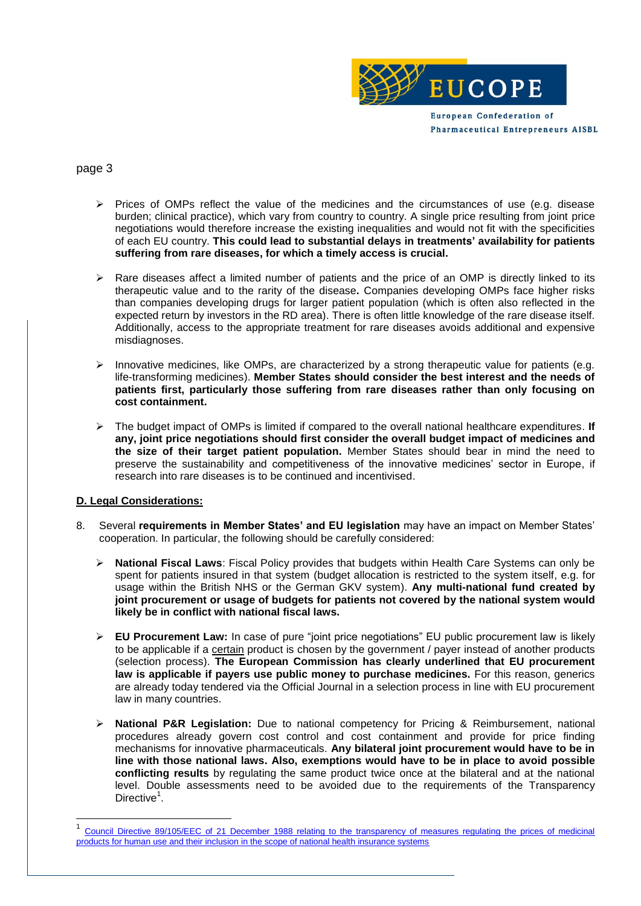

# page 3

- $\triangleright$  Prices of OMPs reflect the value of the medicines and the circumstances of use (e.g. disease burden; clinical practice), which vary from country to country. A single price resulting from joint price negotiations would therefore increase the existing inequalities and would not fit with the specificities of each EU country. **This could lead to substantial delays in treatments' availability for patients suffering from rare diseases, for which a timely access is crucial.**
- Rare diseases affect a limited number of patients and the price of an OMP is directly linked to its therapeutic value and to the rarity of the disease**.** Companies developing OMPs face higher risks than companies developing drugs for larger patient population (which is often also reflected in the expected return by investors in the RD area). There is often little knowledge of the rare disease itself. Additionally, access to the appropriate treatment for rare diseases avoids additional and expensive misdiagnoses.
- $\triangleright$  Innovative medicines, like OMPs, are characterized by a strong therapeutic value for patients (e.g. life-transforming medicines). **Member States should consider the best interest and the needs of patients first, particularly those suffering from rare diseases rather than only focusing on cost containment.**
- The budget impact of OMPs is limited if compared to the overall national healthcare expenditures. **If any, joint price negotiations should first consider the overall budget impact of medicines and the size of their target patient population.** Member States should bear in mind the need to preserve the sustainability and competitiveness of the innovative medicines' sector in Europe, if research into rare diseases is to be continued and incentivised.

#### **D. Legal Considerations:**

- 8. Several **requirements in Member States' and EU legislation** may have an impact on Member States' cooperation. In particular, the following should be carefully considered:
	- **National Fiscal Laws**: Fiscal Policy provides that budgets within Health Care Systems can only be spent for patients insured in that system (budget allocation is restricted to the system itself, e.g. for usage within the British NHS or the German GKV system). **Any multi-national fund created by joint procurement or usage of budgets for patients not covered by the national system would likely be in conflict with national fiscal laws.**
	- **EU Procurement Law:** In case of pure "joint price negotiations" EU public procurement law is likely to be applicable if a certain product is chosen by the government / payer instead of another products (selection process). **The European Commission has clearly underlined that EU procurement law is applicable if payers use public money to purchase medicines.** For this reason, generics are already today tendered via the Official Journal in a selection process in line with EU procurement law in many countries.
	- **National P&R Legislation:** Due to national competency for Pricing & Reimbursement, national procedures already govern cost control and cost containment and provide for price finding mechanisms for innovative pharmaceuticals. **Any bilateral joint procurement would have to be in line with those national laws. Also, exemptions would have to be in place to avoid possible conflicting results** by regulating the same product twice once at the bilateral and at the national level. Double assessments need to be avoided due to the requirements of the Transparency Directive<sup>1</sup>.

<sup>1</sup> [Council Directive 89/105/EEC of 21 December 1988 relating to the transparency of measures regulating the prices of medicinal](http://eur-lex.europa.eu/legal-content/EN/TXT/PDF/?uri=CELEX:31989L0105&qid=1433956268302&from=EN)  [products for human use and their inclusion in the scope of national health insurance systems](http://eur-lex.europa.eu/legal-content/EN/TXT/PDF/?uri=CELEX:31989L0105&qid=1433956268302&from=EN)